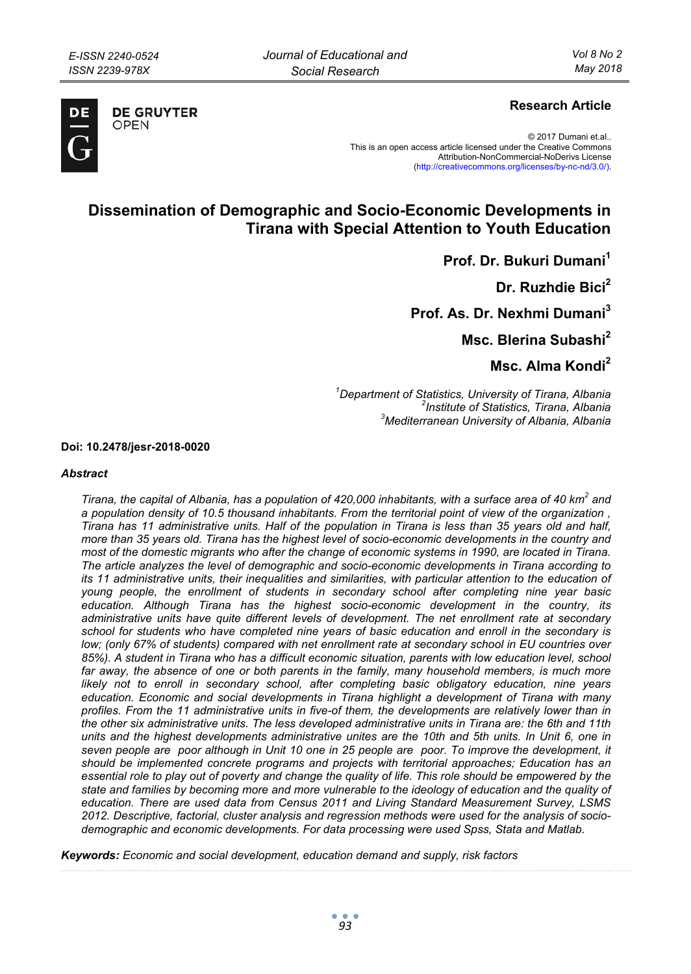

**DE GRUYTER** OPFN

# **Research Article**

© 2017 Dumani et.al.. This is an open access article licensed under the Creative Commons Attribution-NonCommercial-NoDerivs License (http://creativecommons.org/licenses/by-nc-nd/3.0/).

# **Dissemination of Demographic and Socio-Economic Developments in Tirana with Special Attention to Youth Education**

**Prof. Dr. Bukuri Dumani1**

**Dr. Ruzhdie Bici2**

**Prof. As. Dr. Nexhmi Dumani3**

**Msc. Blerina Subashi2**

**Msc. Alma Kondi2**

*1 Department of Statistics, University of Tirana, Albania 2 Institute of Statistics, Tirana, Albania 3 Mediterranean University of Albania, Albania* 

**Doi: 10.2478/jesr-2018-0020** 

#### *Abstract*

Tirana, the capital of Albania, has a population of 420,000 inhabitants, with a surface area of 40 km<sup>2</sup> and *a population density of 10.5 thousand inhabitants. From the territorial point of view of the organization , Tirana has 11 administrative units. Half of the population in Tirana is less than 35 years old and half, more than 35 years old. Tirana has the highest level of socio-economic developments in the country and most of the domestic migrants who after the change of economic systems in 1990, are located in Tirana. The article analyzes the level of demographic and socio-economic developments in Tirana according to its 11 administrative units, their inequalities and similarities, with particular attention to the education of young people, the enrollment of students in secondary school after completing nine year basic education. Although Tirana has the highest socio-economic development in the country, its administrative units have quite different levels of development. The net enrollment rate at secondary school for students who have completed nine years of basic education and enroll in the secondary is low; (only 67% of students) compared with net enrollment rate at secondary school in EU countries over 85%). A student in Tirana who has a difficult economic situation, parents with low education level, school*  far away, the absence of one or both parents in the family, many household members, is much more *likely not to enroll in secondary school, after completing basic obligatory education, nine years education. Economic and social developments in Tirana highlight a development of Tirana with many profiles. From the 11 administrative units in five-of them, the developments are relatively lower than in the other six administrative units. The less developed administrative units in Tirana are: the 6th and 11th units and the highest developments administrative unites are the 10th and 5th units. In Unit 6, one in*  seven people are poor although in Unit 10 one in 25 people are poor. To improve the development, it *should be implemented concrete programs and projects with territorial approaches; Education has an essential role to play out of poverty and change the quality of life. This role should be empowered by the state and families by becoming more and more vulnerable to the ideology of education and the quality of education. There are used data from Census 2011 and Living Standard Measurement Survey, LSMS 2012. Descriptive, factorial, cluster analysis and regression methods were used for the analysis of sociodemographic and economic developments. For data processing were used Spss, Stata and Matlab.* 

*Keywords: Economic and social development, education demand and supply, risk factors*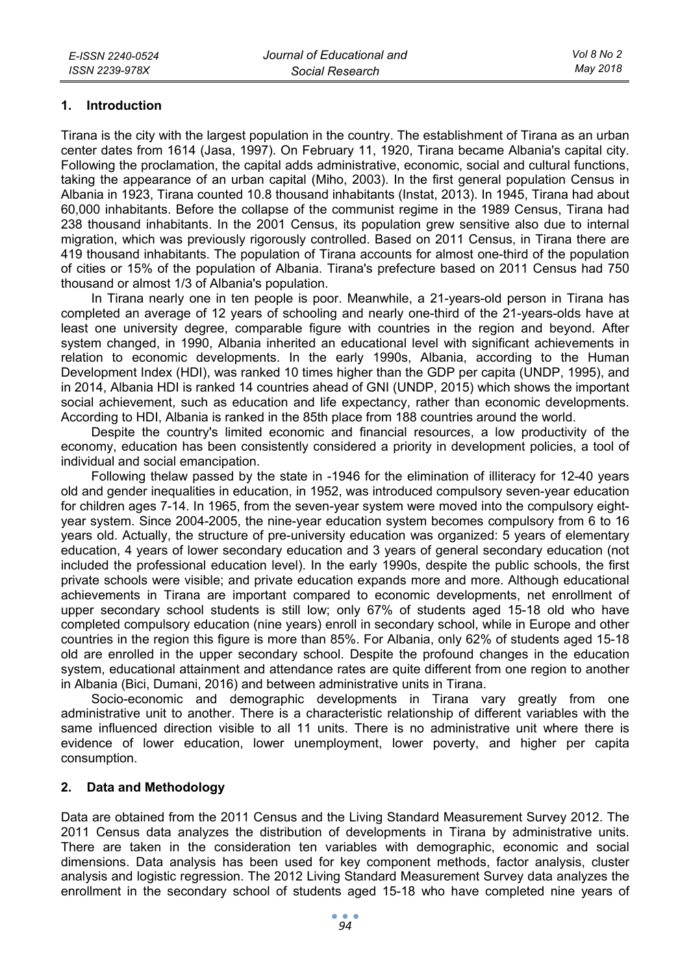### **1. Introduction**

Tirana is the city with the largest population in the country. The establishment of Tirana as an urban center dates from 1614 (Jasa, 1997). On February 11, 1920, Tirana became Albania's capital city. Following the proclamation, the capital adds administrative, economic, social and cultural functions, taking the appearance of an urban capital (Miho, 2003). In the first general population Census in Albania in 1923, Tirana counted 10.8 thousand inhabitants (Instat, 2013). In 1945, Tirana had about 60,000 inhabitants. Before the collapse of the communist regime in the 1989 Census, Tirana had 238 thousand inhabitants. In the 2001 Census, its population grew sensitive also due to internal migration, which was previously rigorously controlled. Based on 2011 Census, in Tirana there are 419 thousand inhabitants. The population of Tirana accounts for almost one-third of the population of cities or 15% of the population of Albania. Tirana's prefecture based on 2011 Census had 750 thousand or almost 1/3 of Albania's population.

In Tirana nearly one in ten people is poor. Meanwhile, a 21-years-old person in Tirana has completed an average of 12 years of schooling and nearly one-third of the 21-years-olds have at least one university degree, comparable figure with countries in the region and beyond. After system changed, in 1990, Albania inherited an educational level with significant achievements in relation to economic developments. In the early 1990s, Albania, according to the Human Development Index (HDI), was ranked 10 times higher than the GDP per capita (UNDP, 1995), and in 2014, Albania HDI is ranked 14 countries ahead of GNI (UNDP, 2015) which shows the important social achievement, such as education and life expectancy, rather than economic developments. According to HDI, Albania is ranked in the 85th place from 188 countries around the world.

Despite the country's limited economic and financial resources, a low productivity of the economy, education has been consistently considered a priority in development policies, a tool of individual and social emancipation.

Following thelaw passed by the state in -1946 for the elimination of illiteracy for 12-40 years old and gender inequalities in education, in 1952, was introduced compulsory seven-year education for children ages 7-14. In 1965, from the seven-year system were moved into the compulsory eightyear system. Since 2004-2005, the nine-year education system becomes compulsory from 6 to 16 years old. Actually, the structure of pre-university education was organized: 5 years of elementary education, 4 years of lower secondary education and 3 years of general secondary education (not included the professional education level). In the early 1990s, despite the public schools, the first private schools were visible; and private education expands more and more. Although educational achievements in Tirana are important compared to economic developments, net enrollment of upper secondary school students is still low; only 67% of students aged 15-18 old who have completed compulsory education (nine years) enroll in secondary school, while in Europe and other countries in the region this figure is more than 85%. For Albania, only 62% of students aged 15-18 old are enrolled in the upper secondary school. Despite the profound changes in the education system, educational attainment and attendance rates are quite different from one region to another in Albania (Bici, Dumani, 2016) and between administrative units in Tirana.

Socio-economic and demographic developments in Tirana vary greatly from one administrative unit to another. There is a characteristic relationship of different variables with the same influenced direction visible to all 11 units. There is no administrative unit where there is evidence of lower education, lower unemployment, lower poverty, and higher per capita consumption.

## **2. Data and Methodology**

Data are obtained from the 2011 Census and the Living Standard Measurement Survey 2012. The 2011 Census data analyzes the distribution of developments in Tirana by administrative units. There are taken in the consideration ten variables with demographic, economic and social dimensions. Data analysis has been used for key component methods, factor analysis, cluster analysis and logistic regression. The 2012 Living Standard Measurement Survey data analyzes the enrollment in the secondary school of students aged 15-18 who have completed nine years of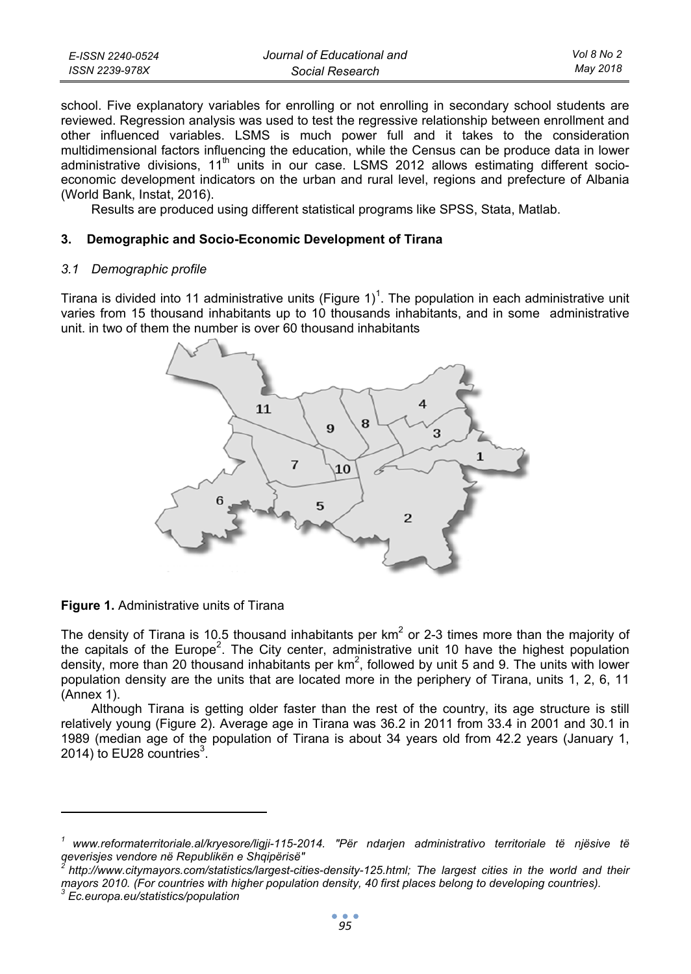| E-ISSN 2240-0524 | Journal of Educational and | Vol 8 No 2 |
|------------------|----------------------------|------------|
| ISSN 2239-978X   | Social Research            | Mav 2018   |

school. Five explanatory variables for enrolling or not enrolling in secondary school students are reviewed. Regression analysis was used to test the regressive relationship between enrollment and other influenced variables. LSMS is much power full and it takes to the consideration multidimensional factors influencing the education, while the Census can be produce data in lower administrative divisions, 11<sup>th</sup> units in our case. LSMS 2012 allows estimating different socioeconomic development indicators on the urban and rural level, regions and prefecture of Albania (World Bank, Instat, 2016).

Results are produced using different statistical programs like SPSS, Stata, Matlab.

## **3. Demographic and Socio-Economic Development of Tirana**

## *3.1 Demographic profile*

Tirana is divided into 11 administrative units (Figure 1)<sup>1</sup>. The population in each administrative unit varies from 15 thousand inhabitants up to 10 thousands inhabitants, and in some administrative unit. in two of them the number is over 60 thousand inhabitants



**Figure 1.** Administrative units of Tirana

The density of Tirana is 10.5 thousand inhabitants per km<sup>2</sup> or 2-3 times more than the majority of the capitals of the Europe<sup>2</sup>. The City center, administrative unit 10 have the highest population density, more than 20 thousand inhabitants per km<sup>2</sup>, followed by unit 5 and 9. The units with lower population density are the units that are located more in the periphery of Tirana, units 1, 2, 6, 11 (Annex 1).

Although Tirana is getting older faster than the rest of the country, its age structure is still relatively young (Figure 2). Average age in Tirana was 36.2 in 2011 from 33.4 in 2001 and 30.1 in 1989 (median age of the population of Tirana is about 34 years old from 42.2 years (January 1, 2014) to EU28 countries $^3$ .

*2 http://www.citymayors.com/statistics/largest-cities-density-125.html; The largest cities in the world and their mayors 2010. (For countries with higher population density, 40 first places belong to developing countries).* 

 *Ec.europa.eu/statistics/population* 

*<sup>1</sup> www.reformaterritoriale.al/kryesore/ligji-115-2014. "Për ndarjen administrativo territoriale të njësive të qeverisjes vendore në Republikën e Shqipërisë"*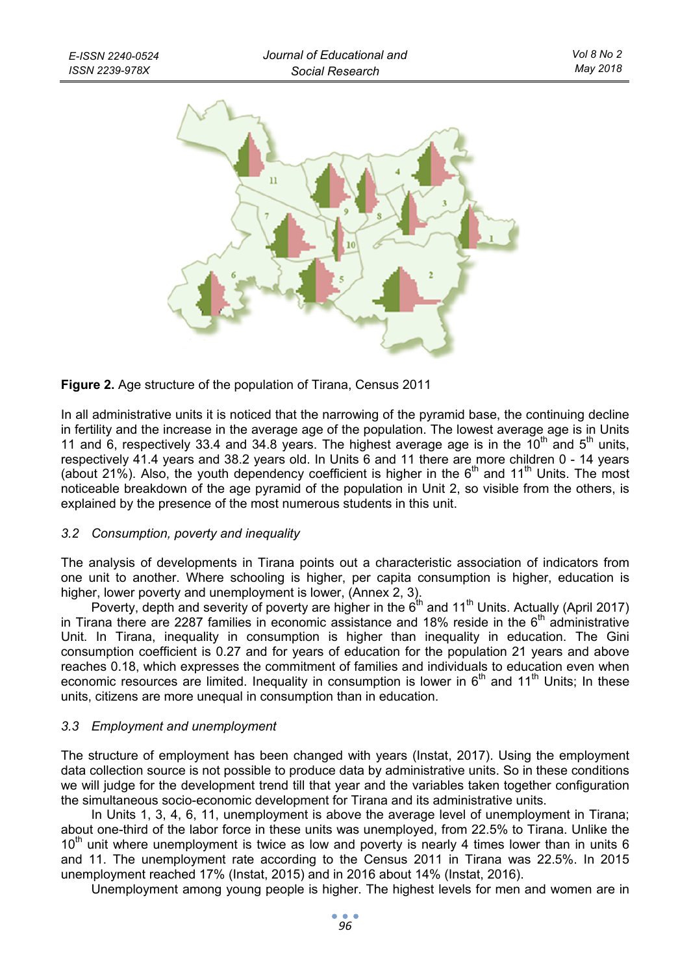



In all administrative units it is noticed that the narrowing of the pyramid base, the continuing decline in fertility and the increase in the average age of the population. The lowest average age is in Units 11 and 6, respectively 33.4 and 34.8 years. The highest average age is in the  $10<sup>th</sup>$  and  $5<sup>th</sup>$  units, respectively 41.4 years and 38.2 years old. In Units 6 and 11 there are more children 0 - 14 years (about 21%). Also, the youth dependency coefficient is higher in the  $6<sup>th</sup>$  and 11<sup>th</sup> Units. The most noticeable breakdown of the age pyramid of the population in Unit 2, so visible from the others, is explained by the presence of the most numerous students in this unit.

## *3.2 Consumption, poverty and inequality*

The analysis of developments in Tirana points out a characteristic association of indicators from one unit to another. Where schooling is higher, per capita consumption is higher, education is higher, lower poverty and unemployment is lower, (Annex 2, 3).

Poverty, depth and severity of poverty are higher in the 6<sup>th</sup> and 11<sup>th</sup> Units. Actually (April 2017) in Tirana there are 2287 families in economic assistance and 18% reside in the  $6<sup>th</sup>$  administrative Unit. In Tirana, inequality in consumption is higher than inequality in education. The Gini consumption coefficient is 0.27 and for years of education for the population 21 years and above reaches 0.18, which expresses the commitment of families and individuals to education even when economic resources are limited. Inequality in consumption is lower in  $6<sup>th</sup>$  and  $11<sup>th</sup>$  Units; In these units, citizens are more unequal in consumption than in education.

# *3.3 Employment and unemployment*

The structure of employment has been changed with years (Instat, 2017). Using the employment data collection source is not possible to produce data by administrative units. So in these conditions we will judge for the development trend till that year and the variables taken together configuration the simultaneous socio-economic development for Tirana and its administrative units.

In Units 1, 3, 4, 6, 11, unemployment is above the average level of unemployment in Tirana; about one-third of the labor force in these units was unemployed, from 22.5% to Tirana. Unlike the  $10<sup>th</sup>$  unit where unemployment is twice as low and poverty is nearly 4 times lower than in units 6 and 11. The unemployment rate according to the Census 2011 in Tirana was 22.5%. In 2015 unemployment reached 17% (Instat, 2015) and in 2016 about 14% (Instat, 2016).

Unemployment among young people is higher. The highest levels for men and women are in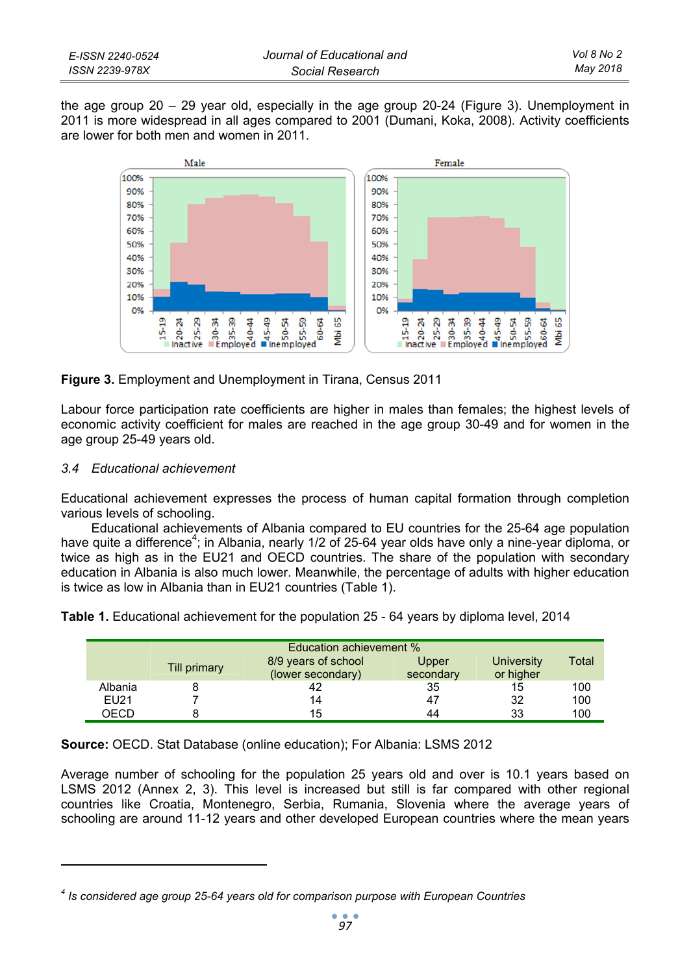| E-ISSN 2240-0524 | Journal of Educational and | Vol 8 No 2 |
|------------------|----------------------------|------------|
| ISSN 2239-978X   | Social Research            | Mav 2018   |

the age group 20 – 29 year old, especially in the age group 20-24 (Figure 3). Unemployment in 2011 is more widespread in all ages compared to 2001 (Dumani, Koka, 2008). Activity coefficients are lower for both men and women in 2011.



**Figure 3.** Employment and Unemployment in Tirana, Census 2011

Labour force participation rate coefficients are higher in males than females; the highest levels of economic activity coefficient for males are reached in the age group 30-49 and for women in the age group 25-49 years old.

## *3.4 Educational achievement*

 $\overline{a}$ 

Educational achievement expresses the process of human capital formation through completion various levels of schooling.

Educational achievements of Albania compared to EU countries for the 25-64 age population have quite a difference<sup>4</sup>; in Albania, nearly 1/2 of 25-64 year olds have only a nine-year diploma, or twice as high as in the EU21 and OECD countries. The share of the population with secondary education in Albania is also much lower. Meanwhile, the percentage of adults with higher education is twice as low in Albania than in EU21 countries (Table 1).

**Table 1.** Educational achievement for the population 25 - 64 years by diploma level, 2014

| Education achievement % |              |                                          |                    |                         |       |
|-------------------------|--------------|------------------------------------------|--------------------|-------------------------|-------|
|                         | Till primary | 8/9 years of school<br>(lower secondary) | Upper<br>secondary | University<br>or higher | Total |
| Albania                 |              | 42                                       | 35                 | 15                      | 100   |
| EU21                    |              | 14                                       | 47                 | 32                      | 100   |
| OECD                    |              | 15                                       | 44                 | 33                      | 100   |

**Source:** OECD. Stat Database (online education); For Albania: LSMS 2012

Average number of schooling for the population 25 years old and over is 10.1 years based on LSMS 2012 (Annex 2, 3). This level is increased but still is far compared with other regional countries like Croatia, Montenegro, Serbia, Rumania, Slovenia where the average years of schooling are around 11-12 years and other developed European countries where the mean years

*<sup>4</sup> Is considered age group 25-64 years old for comparison purpose with European Countries*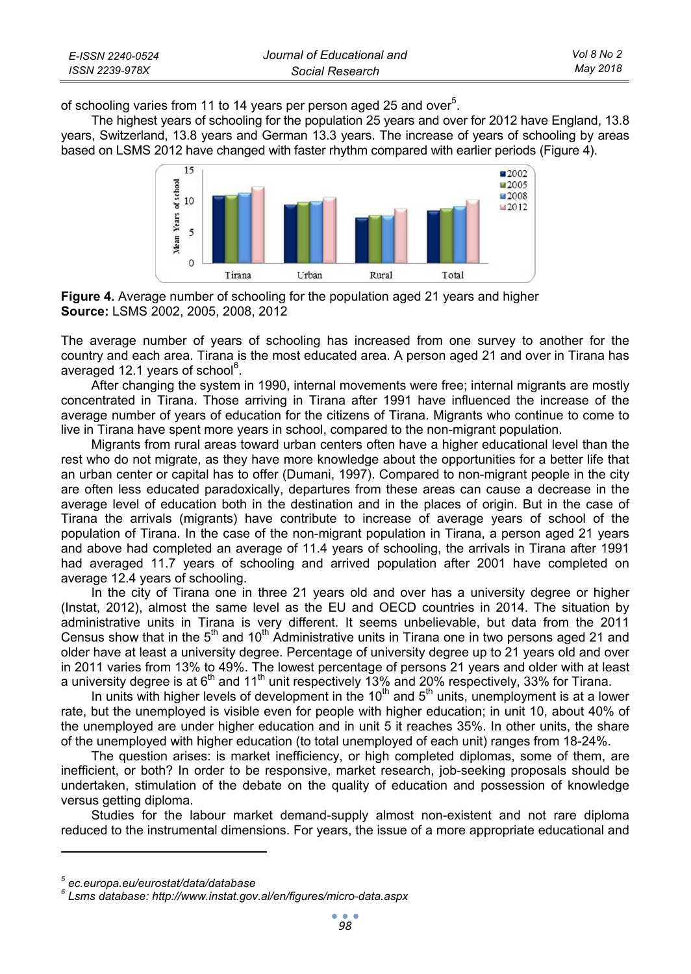| E-ISSN 2240-0524 | Journal of Educational and | Vol 8 No 2 |
|------------------|----------------------------|------------|
| ISSN 2239-978X   | Social Research            | May 2018   |

of schooling varies from 11 to 14 years per person aged 25 and over $^5$ .

The highest years of schooling for the population 25 years and over for 2012 have England, 13.8 years, Switzerland, 13.8 years and German 13.3 years. The increase of years of schooling by areas based on LSMS 2012 have changed with faster rhythm compared with earlier periods (Figure 4).





The average number of years of schooling has increased from one survey to another for the country and each area. Tirana is the most educated area. A person aged 21 and over in Tirana has averaged 12.1 years of school $^6$ .

After changing the system in 1990, internal movements were free; internal migrants are mostly concentrated in Tirana. Those arriving in Tirana after 1991 have influenced the increase of the average number of years of education for the citizens of Tirana. Migrants who continue to come to live in Tirana have spent more years in school, compared to the non-migrant population.

Migrants from rural areas toward urban centers often have a higher educational level than the rest who do not migrate, as they have more knowledge about the opportunities for a better life that an urban center or capital has to offer (Dumani, 1997). Compared to non-migrant people in the city are often less educated paradoxically, departures from these areas can cause a decrease in the average level of education both in the destination and in the places of origin. But in the case of Tirana the arrivals (migrants) have contribute to increase of average years of school of the population of Tirana. In the case of the non-migrant population in Tirana, a person aged 21 years and above had completed an average of 11.4 years of schooling, the arrivals in Tirana after 1991 had averaged 11.7 years of schooling and arrived population after 2001 have completed on average 12.4 years of schooling.

In the city of Tirana one in three 21 years old and over has a university degree or higher (Instat, 2012), almost the same level as the EU and OECD countries in 2014. The situation by administrative units in Tirana is very different. It seems unbelievable, but data from the 2011 Census show that in the  $5<sup>th</sup>$  and  $10<sup>th</sup>$  Administrative units in Tirana one in two persons aged 21 and older have at least a university degree. Percentage of university degree up to 21 years old and over in 2011 varies from 13% to 49%. The lowest percentage of persons 21 years and older with at least a university degree is at 6<sup>th</sup> and 11<sup>th</sup> unit respectively 13% and 20% respectively, 33% for Tirana.

In units with higher levels of development in the 10<sup>th</sup> and  $5<sup>th</sup>$  units, unemployment is at a lower rate, but the unemployed is visible even for people with higher education; in unit 10, about 40% of the unemployed are under higher education and in unit 5 it reaches 35%. In other units, the share of the unemployed with higher education (to total unemployed of each unit) ranges from 18-24%.

The question arises: is market inefficiency, or high completed diplomas, some of them, are inefficient, or both? In order to be responsive, market research, job-seeking proposals should be undertaken, stimulation of the debate on the quality of education and possession of knowledge versus getting diploma.

Studies for the labour market demand-supply almost non-existent and not rare diploma reduced to the instrumental dimensions. For years, the issue of a more appropriate educational and

*<sup>5</sup> ec.europa.eu/eurostat/data/database* 

*<sup>6</sup> Lsms database: http://www.instat.gov.al/en/figures/micro-data.aspx*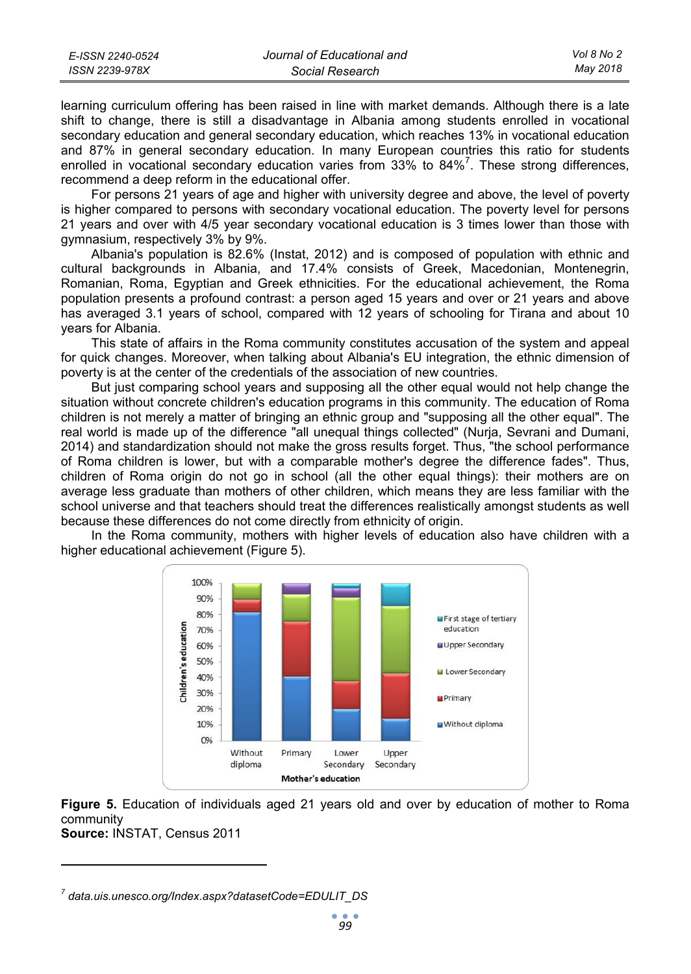| E-ISSN 2240-0524 | Journal of Educational and | Vol 8 No 2 |
|------------------|----------------------------|------------|
| ISSN 2239-978X   | Social Research            | May 2018   |

learning curriculum offering has been raised in line with market demands. Although there is a late shift to change, there is still a disadvantage in Albania among students enrolled in vocational secondary education and general secondary education, which reaches 13% in vocational education and 87% in general secondary education. In many European countries this ratio for students enrolled in vocational secondary education varies from 33% to 84%<sup>7</sup>. These strong differences, recommend a deep reform in the educational offer.

For persons 21 years of age and higher with university degree and above, the level of poverty is higher compared to persons with secondary vocational education. The poverty level for persons 21 years and over with 4/5 year secondary vocational education is 3 times lower than those with gymnasium, respectively 3% by 9%.

Albania's population is 82.6% (Instat, 2012) and is composed of population with ethnic and cultural backgrounds in Albania, and 17.4% consists of Greek, Macedonian, Montenegrin, Romanian, Roma, Egyptian and Greek ethnicities. For the educational achievement, the Roma population presents a profound contrast: a person aged 15 years and over or 21 years and above has averaged 3.1 years of school, compared with 12 years of schooling for Tirana and about 10 years for Albania.

This state of affairs in the Roma community constitutes accusation of the system and appeal for quick changes. Moreover, when talking about Albania's EU integration, the ethnic dimension of poverty is at the center of the credentials of the association of new countries.

But just comparing school years and supposing all the other equal would not help change the situation without concrete children's education programs in this community. The education of Roma children is not merely a matter of bringing an ethnic group and "supposing all the other equal". The real world is made up of the difference "all unequal things collected" (Nurja, Sevrani and Dumani, 2014) and standardization should not make the gross results forget. Thus, "the school performance of Roma children is lower, but with a comparable mother's degree the difference fades". Thus, children of Roma origin do not go in school (all the other equal things): their mothers are on average less graduate than mothers of other children, which means they are less familiar with the school universe and that teachers should treat the differences realistically amongst students as well because these differences do not come directly from ethnicity of origin.

In the Roma community, mothers with higher levels of education also have children with a higher educational achievement (Figure 5).



**Figure 5.** Education of individuals aged 21 years old and over by education of mother to Roma community

**Source:** INSTAT, Census 2011

*<sup>7</sup> data.uis.unesco.org/Index.aspx?datasetCode=EDULIT\_DS*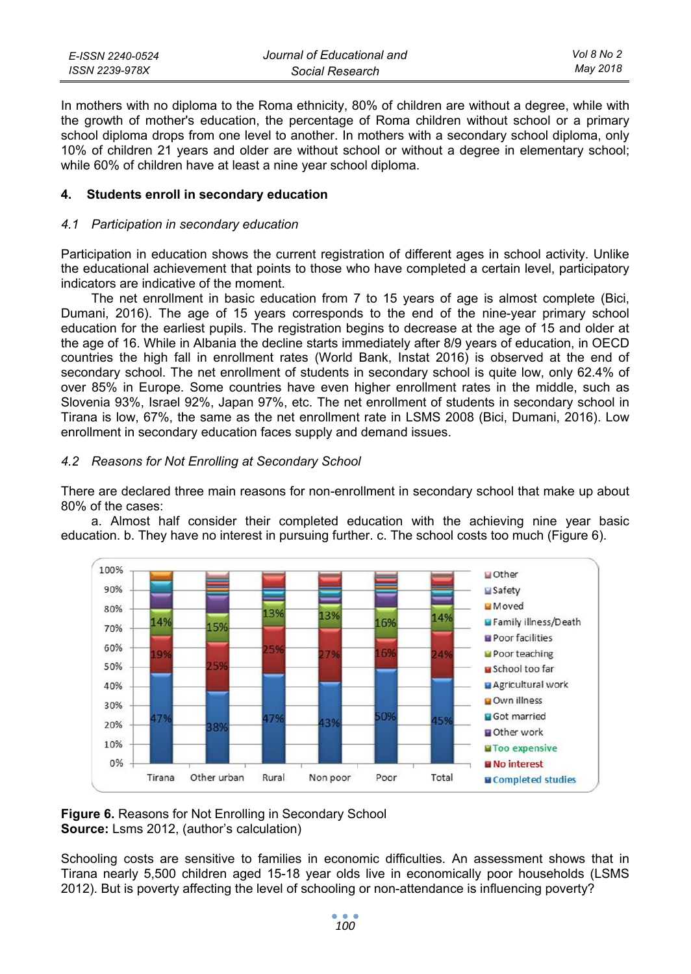| E-ISSN 2240-0524 | Journal of Educational and | Vol 8 No 2 |
|------------------|----------------------------|------------|
| ISSN 2239-978X   | Social Research            | May 2018   |

In mothers with no diploma to the Roma ethnicity, 80% of children are without a degree, while with the growth of mother's education, the percentage of Roma children without school or a primary school diploma drops from one level to another. In mothers with a secondary school diploma, only 10% of children 21 years and older are without school or without a degree in elementary school; while 60% of children have at least a nine year school diploma.

#### **4. Students enroll in secondary education**

#### *4.1 Participation in secondary education*

Participation in education shows the current registration of different ages in school activity. Unlike the educational achievement that points to those who have completed a certain level, participatory indicators are indicative of the moment.

The net enrollment in basic education from 7 to 15 years of age is almost complete (Bici, Dumani, 2016). The age of 15 years corresponds to the end of the nine-year primary school education for the earliest pupils. The registration begins to decrease at the age of 15 and older at the age of 16. While in Albania the decline starts immediately after 8/9 years of education, in OECD countries the high fall in enrollment rates (World Bank, Instat 2016) is observed at the end of secondary school. The net enrollment of students in secondary school is quite low, only 62.4% of over 85% in Europe. Some countries have even higher enrollment rates in the middle, such as Slovenia 93%, Israel 92%, Japan 97%, etc. The net enrollment of students in secondary school in Tirana is low, 67%, the same as the net enrollment rate in LSMS 2008 (Bici, Dumani, 2016). Low enrollment in secondary education faces supply and demand issues.

#### *4.2 Reasons for Not Enrolling at Secondary School*

There are declared three main reasons for non-enrollment in secondary school that make up about 80% of the cases:

a. Almost half consider their completed education with the achieving nine year basic education. b. They have no interest in pursuing further. c. The school costs too much (Figure 6).



**Figure 6.** Reasons for Not Enrolling in Secondary School **Source:** Lsms 2012, (author's calculation)

Schooling costs are sensitive to families in economic difficulties. An assessment shows that in Tirana nearly 5,500 children aged 15-18 year olds live in economically poor households (LSMS 2012). But is poverty affecting the level of schooling or non-attendance is influencing poverty?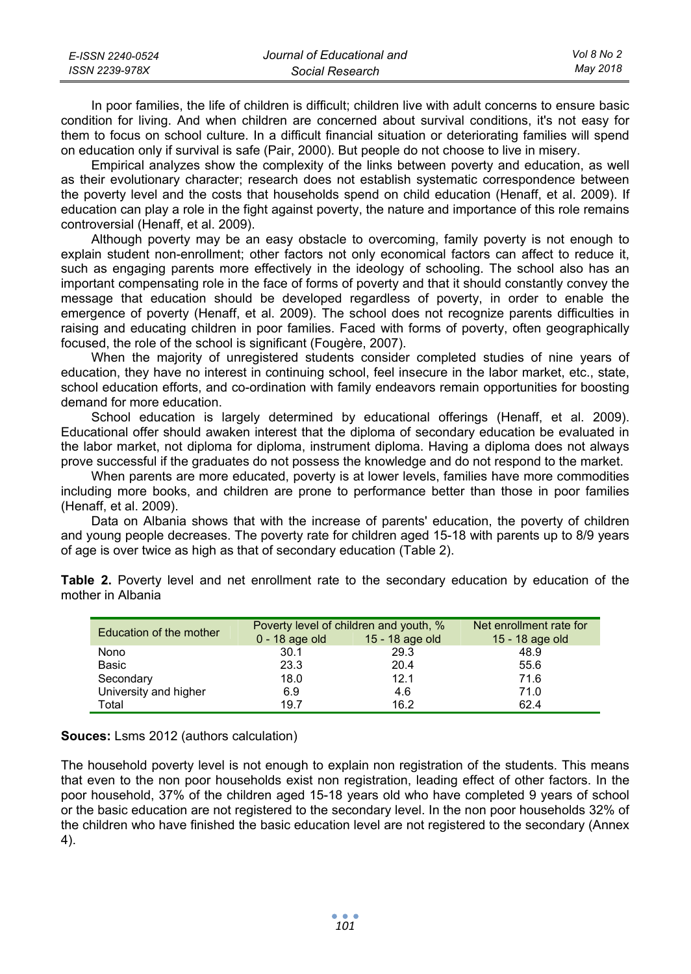| E-ISSN 2240-0524 | Journal of Educational and | Vol 8 No 2 |
|------------------|----------------------------|------------|
| ISSN 2239-978X   | Social Research            | May 2018   |

In poor families, the life of children is difficult; children live with adult concerns to ensure basic condition for living. And when children are concerned about survival conditions, it's not easy for them to focus on school culture. In a difficult financial situation or deteriorating families will spend on education only if survival is safe (Pair, 2000). But people do not choose to live in misery.

Empirical analyzes show the complexity of the links between poverty and education, as well as their evolutionary character; research does not establish systematic correspondence between the poverty level and the costs that households spend on child education (Henaff, et al. 2009). If education can play a role in the fight against poverty, the nature and importance of this role remains controversial (Henaff, et al. 2009).

Although poverty may be an easy obstacle to overcoming, family poverty is not enough to explain student non-enrollment; other factors not only economical factors can affect to reduce it, such as engaging parents more effectively in the ideology of schooling. The school also has an important compensating role in the face of forms of poverty and that it should constantly convey the message that education should be developed regardless of poverty, in order to enable the emergence of poverty (Henaff, et al. 2009). The school does not recognize parents difficulties in raising and educating children in poor families. Faced with forms of poverty, often geographically focused, the role of the school is significant (Fougère, 2007).

When the majority of unregistered students consider completed studies of nine years of education, they have no interest in continuing school, feel insecure in the labor market, etc., state, school education efforts, and co-ordination with family endeavors remain opportunities for boosting demand for more education.

School education is largely determined by educational offerings (Henaff, et al. 2009). Educational offer should awaken interest that the diploma of secondary education be evaluated in the labor market, not diploma for diploma, instrument diploma. Having a diploma does not always prove successful if the graduates do not possess the knowledge and do not respond to the market.

When parents are more educated, poverty is at lower levels, families have more commodities including more books, and children are prone to performance better than those in poor families (Henaff, et al. 2009).

Data on Albania shows that with the increase of parents' education, the poverty of children and young people decreases. The poverty rate for children aged 15-18 with parents up to 8/9 years of age is over twice as high as that of secondary education (Table 2).

| Education of the mother | Poverty level of children and youth, %<br>15 - 18 age old<br>$0 - 18$ age old |      | Net enrollment rate for<br>15 - 18 age old |
|-------------------------|-------------------------------------------------------------------------------|------|--------------------------------------------|
| Nono                    | 30.1                                                                          | 29.3 | 48.9                                       |
| Basic                   | 23.3                                                                          | 20.4 | 55.6                                       |
| Secondary               | 18.0                                                                          | 12.1 | 71.6                                       |
| University and higher   | 6.9                                                                           | 4.6  | 71.0                                       |
| Total                   | 19.7                                                                          | 16.2 | 62.4                                       |

**Table 2.** Poverty level and net enrollment rate to the secondary education by education of the mother in Albania

**Souces:** Lsms 2012 (authors calculation)

The household poverty level is not enough to explain non registration of the students. This means that even to the non poor households exist non registration, leading effect of other factors. In the poor household, 37% of the children aged 15-18 years old who have completed 9 years of school or the basic education are not registered to the secondary level. In the non poor households 32% of the children who have finished the basic education level are not registered to the secondary (Annex 4).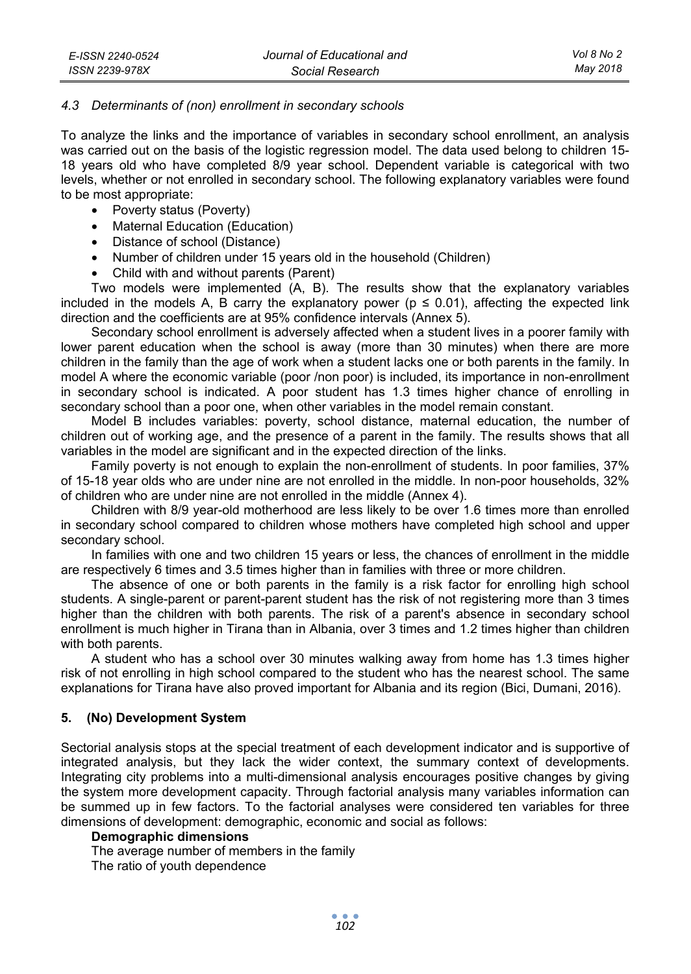| E-ISSN 2240-0524 | Journal of Educational and | Vol 8 No 2 |
|------------------|----------------------------|------------|
| ISSN 2239-978X   | Social Research            | May 2018   |

#### *4.3 Determinants of (non) enrollment in secondary schools*

To analyze the links and the importance of variables in secondary school enrollment, an analysis was carried out on the basis of the logistic regression model. The data used belong to children 15- 18 years old who have completed 8/9 year school. Dependent variable is categorical with two levels, whether or not enrolled in secondary school. The following explanatory variables were found to be most appropriate:

- Poverty status (Poverty)
- Maternal Education (Education)
- Distance of school (Distance)
- Number of children under 15 years old in the household (Children)
- Child with and without parents (Parent)

Two models were implemented (A, B). The results show that the explanatory variables included in the models A, B carry the explanatory power ( $p \le 0.01$ ), affecting the expected link direction and the coefficients are at 95% confidence intervals (Annex 5).

Secondary school enrollment is adversely affected when a student lives in a poorer family with lower parent education when the school is away (more than 30 minutes) when there are more children in the family than the age of work when a student lacks one or both parents in the family. In model A where the economic variable (poor /non poor) is included, its importance in non-enrollment in secondary school is indicated. A poor student has 1.3 times higher chance of enrolling in secondary school than a poor one, when other variables in the model remain constant.

Model B includes variables: poverty, school distance, maternal education, the number of children out of working age, and the presence of a parent in the family. The results shows that all variables in the model are significant and in the expected direction of the links.

Family poverty is not enough to explain the non-enrollment of students. In poor families, 37% of 15-18 year olds who are under nine are not enrolled in the middle. In non-poor households, 32% of children who are under nine are not enrolled in the middle (Annex 4).

Children with 8/9 year-old motherhood are less likely to be over 1.6 times more than enrolled in secondary school compared to children whose mothers have completed high school and upper secondary school.

In families with one and two children 15 years or less, the chances of enrollment in the middle are respectively 6 times and 3.5 times higher than in families with three or more children.

The absence of one or both parents in the family is a risk factor for enrolling high school students. A single-parent or parent-parent student has the risk of not registering more than 3 times higher than the children with both parents. The risk of a parent's absence in secondary school enrollment is much higher in Tirana than in Albania, over 3 times and 1.2 times higher than children with both parents.

A student who has a school over 30 minutes walking away from home has 1.3 times higher risk of not enrolling in high school compared to the student who has the nearest school. The same explanations for Tirana have also proved important for Albania and its region (Bici, Dumani, 2016).

## **5. (No) Development System**

Sectorial analysis stops at the special treatment of each development indicator and is supportive of integrated analysis, but they lack the wider context, the summary context of developments. Integrating city problems into a multi-dimensional analysis encourages positive changes by giving the system more development capacity. Through factorial analysis many variables information can be summed up in few factors. To the factorial analyses were considered ten variables for three dimensions of development: demographic, economic and social as follows:

#### **Demographic dimensions**

The average number of members in the family

The ratio of youth dependence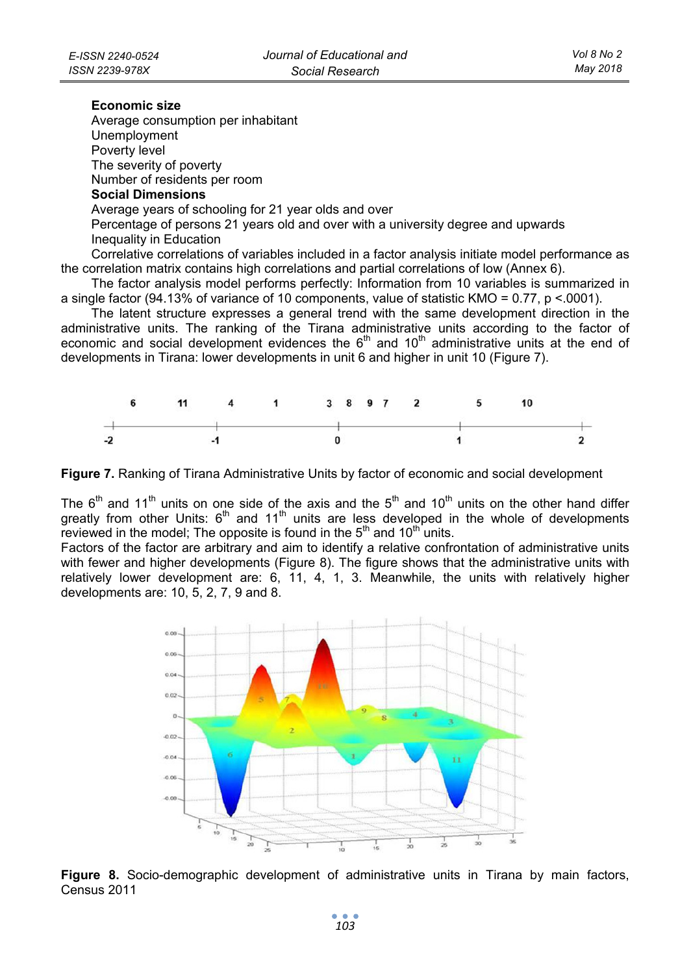#### **Economic size**

Average consumption per inhabitant Unemployment Poverty level The severity of poverty Number of residents per room **Social Dimensions**  Average years of schooling for 21 year olds and over Percentage of persons 21 years old and over with a university degree and upwards Inequality in Education

Correlative correlations of variables included in a factor analysis initiate model performance as the correlation matrix contains high correlations and partial correlations of low (Annex 6).

The factor analysis model performs perfectly: Information from 10 variables is summarized in a single factor (94.13% of variance of 10 components, value of statistic KMO = 0.77, p <.0001).

The latent structure expresses a general trend with the same development direction in the administrative units. The ranking of the Tirana administrative units according to the factor of economic and social development evidences the  $6<sup>th</sup>$  and  $10<sup>th</sup>$  administrative units at the end of developments in Tirana: lower developments in unit 6 and higher in unit 10 (Figure 7).



**Figure 7.** Ranking of Tirana Administrative Units by factor of economic and social development

The  $6<sup>th</sup>$  and 11<sup>th</sup> units on one side of the axis and the  $5<sup>th</sup>$  and 10<sup>th</sup> units on the other hand differ greatly from other Units:  $6<sup>th</sup>$  and 11<sup>th</sup> units are less developed in the whole of developments reviewed in the model; The opposite is found in the  $5<sup>th</sup>$  and  $10<sup>th</sup>$  units.

Factors of the factor are arbitrary and aim to identify a relative confrontation of administrative units with fewer and higher developments (Figure 8). The figure shows that the administrative units with relatively lower development are:  $6, 11, 4, 1, 3$ . Meanwhile, the units with relatively higher developments are: 10, 5, 2, 7, 9 and 8.



**Figure 8.** Socio-demographic development of administrative units in Tirana by main factors, Census 2011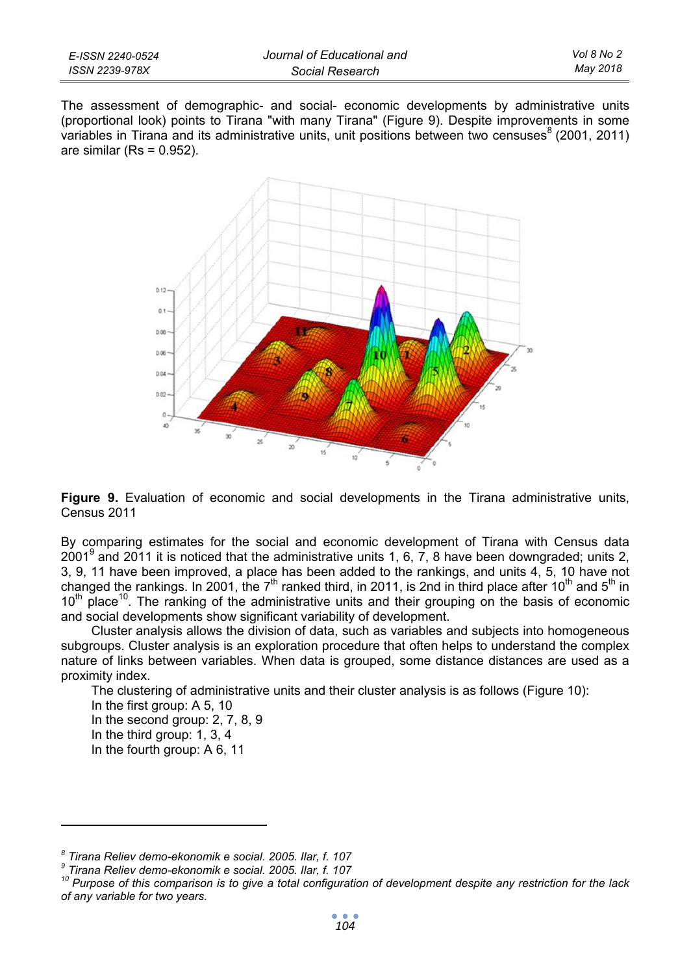| E-ISSN 2240-0524 | Journal of Educational and | Vol 8 No 2 |
|------------------|----------------------------|------------|
| ISSN 2239-978X   | Social Research            | May 2018   |

The assessment of demographic- and social- economic developments by administrative units (proportional look) points to Tirana "with many Tirana" (Figure 9). Despite improvements in some variables in Tirana and its administrative units, unit positions between two censuses  $(2001, 2011)$ are similar ( $Rs = 0.952$ ).



**Figure 9.** Evaluation of economic and social developments in the Tirana administrative units, Census 2011

By comparing estimates for the social and economic development of Tirana with Census data  $2001<sup>9</sup>$  and 2011 it is noticed that the administrative units 1, 6, 7, 8 have been downgraded; units 2, 3, 9, 11 have been improved, a place has been added to the rankings, and units 4, 5, 10 have not changed the rankings. In 2001, the  $7<sup>th</sup>$  ranked third, in 2011, is 2nd in third place after 10<sup>th</sup> and 5<sup>th</sup> in  $10<sup>th</sup>$  place<sup>10</sup>. The ranking of the administrative units and their grouping on the basis of economic and social developments show significant variability of development.

Cluster analysis allows the division of data, such as variables and subjects into homogeneous subgroups. Cluster analysis is an exploration procedure that often helps to understand the complex nature of links between variables. When data is grouped, some distance distances are used as a proximity index.

The clustering of administrative units and their cluster analysis is as follows (Figure 10):

In the first group: A 5, 10 In the second group: 2, 7, 8, 9

In the third group: 1, 3, 4

In the fourth group: A 6, 11

*<sup>8</sup> Tirana Reliev demo-ekonomik e social. 2005. Ilar, f. 107* 

*<sup>9</sup> Tirana Reliev demo-ekonomik e social. 2005. Ilar, f. 107* 

*<sup>10</sup> Purpose of this comparison is to give a total configuration of development despite any restriction for the lack of any variable for two years.*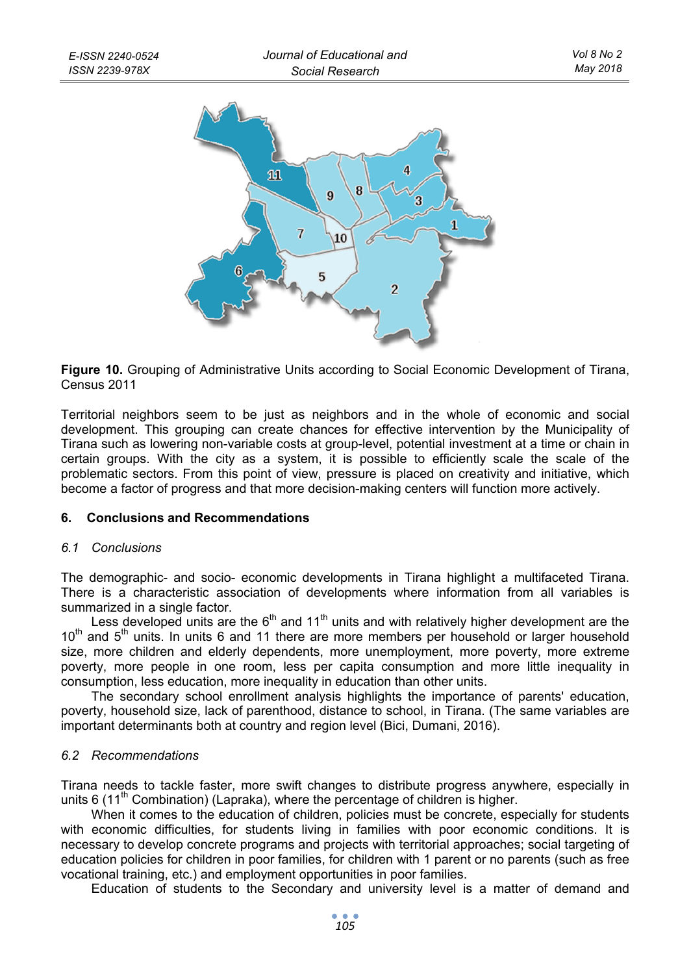

**Figure 10.** Grouping of Administrative Units according to Social Economic Development of Tirana, Census 2011

Territorial neighbors seem to be just as neighbors and in the whole of economic and social development. This grouping can create chances for effective intervention by the Municipality of Tirana such as lowering non-variable costs at group-level, potential investment at a time or chain in certain groups. With the city as a system, it is possible to efficiently scale the scale of the problematic sectors. From this point of view, pressure is placed on creativity and initiative, which become a factor of progress and that more decision-making centers will function more actively.

#### **6. Conclusions and Recommendations**

#### *6.1 Conclusions*

The demographic- and socio- economic developments in Tirana highlight a multifaceted Tirana. There is a characteristic association of developments where information from all variables is summarized in a single factor.

Less developed units are the  $6<sup>th</sup>$  and  $11<sup>th</sup>$  units and with relatively higher development are the  $10<sup>th</sup>$  and  $5<sup>th</sup>$  units. In units 6 and 11 there are more members per household or larger household size, more children and elderly dependents, more unemployment, more poverty, more extreme poverty, more people in one room, less per capita consumption and more little inequality in consumption, less education, more inequality in education than other units.

The secondary school enrollment analysis highlights the importance of parents' education, poverty, household size, lack of parenthood, distance to school, in Tirana. (The same variables are important determinants both at country and region level (Bici, Dumani, 2016).

#### *6.2 Recommendations*

Tirana needs to tackle faster, more swift changes to distribute progress anywhere, especially in units 6 (11<sup>th</sup> Combination) (Lapraka), where the percentage of children is higher.

When it comes to the education of children, policies must be concrete, especially for students with economic difficulties, for students living in families with poor economic conditions. It is necessary to develop concrete programs and projects with territorial approaches; social targeting of education policies for children in poor families, for children with 1 parent or no parents (such as free vocational training, etc.) and employment opportunities in poor families.

Education of students to the Secondary and university level is a matter of demand and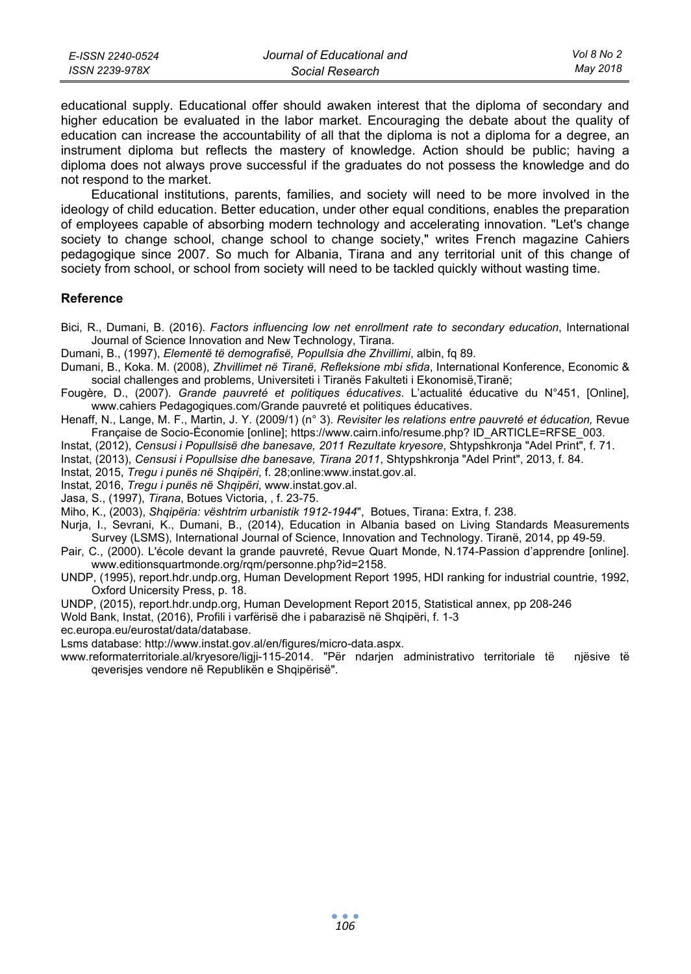| E-ISSN 2240-0524 | Journal of Educational and | Vol 8 No 2 |
|------------------|----------------------------|------------|
| ISSN 2239-978X   | Social Research            | May 2018   |

educational supply. Educational offer should awaken interest that the diploma of secondary and higher education be evaluated in the labor market. Encouraging the debate about the quality of education can increase the accountability of all that the diploma is not a diploma for a degree, an instrument diploma but reflects the mastery of knowledge. Action should be public; having a diploma does not always prove successful if the graduates do not possess the knowledge and do not respond to the market.

Educational institutions, parents, families, and society will need to be more involved in the ideology of child education. Better education, under other equal conditions, enables the preparation of employees capable of absorbing modern technology and accelerating innovation. "Let's change society to change school, change school to change society," writes French magazine Cahiers pedagogique since 2007. So much for Albania, Tirana and any territorial unit of this change of society from school, or school from society will need to be tackled quickly without wasting time.

## **Reference**

Bici, R., Dumani, B. (2016). *Factors influencing low net enrollment rate to secondary education*, International Journal of Science Innovation and New Technology, Tirana.

Dumani, B., (1997), *Elementë të demografisë, Popullsia dhe Zhvillimi*, albin, fq 89.

- Dumani, B., Koka. M. (2008), *Zhvillimet në Tiranë, Refleksione mbi sfida*, International Konference, Economic & social challenges and problems, Universiteti i Tiranës Fakulteti i Ekonomisë,Tiranë;
- Fougère, D., (2007). *Grande pauvreté et politiques éducatives*. L'actualité éducative du N°451, [Online], www.cahiers Pedagogiques.com/Grande pauvreté et politiques éducatives.

Henaff, N., Lange, M. F., Martin, J. Y. (2009/1) (n° 3). *Revisiter les relations entre pauvreté et éducation,* Revue Française de Socio-Économie [online]; https://www.cairn.info/resume.php? ID\_ARTICLE=RFSE\_003.

Instat, (2012), *Censusi i Popullsisë dhe banesave, 2011 Rezultate kryesore*, Shtypshkronja "Adel Print", f. 71.

Instat, (2013), *Censusi i Popullsise dhe banesave, Tirana 2011*, Shtypshkronja "Adel Print", 2013, f. 84.

Instat, 2015, *Tregu i punës në Shqipëri*, f. 28;online:www.instat.gov.al.

Instat, 2016, *Tregu i punës në Shqipëri*, www.instat.gov.al.

Jasa, S., (1997), *Tirana*, Botues Victoria, , f. 23-75.

Miho, K., (2003), *Shqipëria: vështrim urbanistik 1912-1944*", Botues, Tirana: Extra, f. 238.

- Nurja, I., Sevrani, K., Dumani, B., (2014), Education in Albania based on Living Standards Measurements Survey (LSMS), International Journal of Science, Innovation and Technology. Tiranë, 2014, pp 49-59.
- Pair, C., (2000). L'école devant la grande pauvreté, Revue Quart Monde, N.174-Passion d'apprendre [online]. www.editionsquartmonde.org/rqm/personne.php?id=2158.

UNDP, (1995), report.hdr.undp.org, Human Development Report 1995, HDI ranking for industrial countrie, 1992, Oxford Unicersity Press, p. 18.

UNDP, (2015), report.hdr.undp.org, Human Development Report 2015, Statistical annex, pp 208-246

Wold Bank, Instat, (2016), Profili i varfërisë dhe i pabarazisë në Shqipëri, f. 1-3

ec.europa.eu/eurostat/data/database.

Lsms database: http://www.instat.gov.al/en/figures/micro-data.aspx.

www.reformaterritoriale.al/kryesore/ligji-115-2014. "Për ndarjen administrativo territoriale të njësive të qeverisjes vendore në Republikën e Shqipërisë".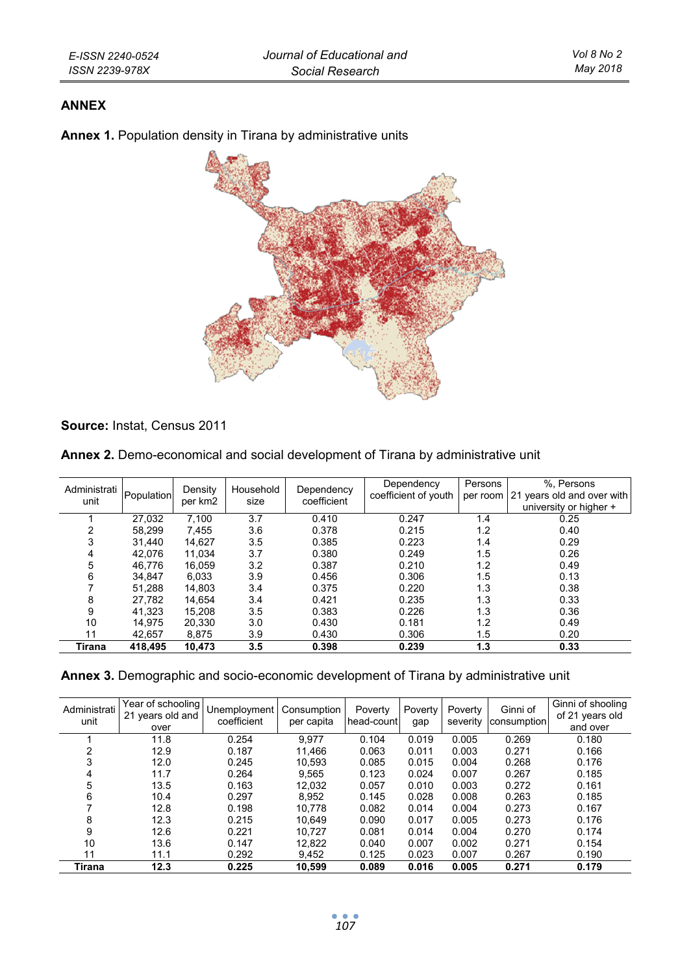## **ANNEX**



**Annex 1.** Population density in Tirana by administrative units

**Source:** Instat, Census 2011

|  | <b>Annex 2.</b> Demo-economical and social development of Tirana by administrative unit |  |  |  |
|--|-----------------------------------------------------------------------------------------|--|--|--|
|--|-----------------------------------------------------------------------------------------|--|--|--|

| Administrati<br>unit | Population | Density<br>per km2 | Household<br>size | Dependency<br>coefficient | Dependency<br>coefficient of youth | Persons | %. Persons<br>per room 21 years old and over with<br>university or higher + |  |  |
|----------------------|------------|--------------------|-------------------|---------------------------|------------------------------------|---------|-----------------------------------------------------------------------------|--|--|
|                      | 27,032     | 7,100              | 3.7               | 0.410                     | 0.247                              | 1.4     | 0.25                                                                        |  |  |
| 2                    | 58.299     | 7.455              | 3.6               | 0.378                     | 0.215                              | 1.2     | 0.40                                                                        |  |  |
| 3                    | 31.440     | 14.627             | 3.5               | 0.385                     | 0.223                              | 1.4     | 0.29                                                                        |  |  |
| 4                    | 42.076     | 11.034             | 3.7               | 0.380                     | 0.249                              | 1.5     | 0.26                                                                        |  |  |
| 5                    | 46.776     | 16.059             | 3.2               | 0.387                     | 0.210                              | 1.2     | 0.49                                                                        |  |  |
| 6                    | 34.847     | 6.033              | 3.9               | 0.456                     | 0.306                              | 1.5     | 0.13                                                                        |  |  |
|                      | 51.288     | 14.803             | 3.4               | 0.375                     | 0.220                              | 1.3     | 0.38                                                                        |  |  |
| 8                    | 27.782     | 14.654             | 3.4               | 0.421                     | 0.235                              | 1.3     | 0.33                                                                        |  |  |
| 9                    | 41.323     | 15.208             | 3.5               | 0.383                     | 0.226                              | 1.3     | 0.36                                                                        |  |  |
| 10                   | 14.975     | 20.330             | 3.0               | 0.430                     | 0.181                              | 1.2     | 0.49                                                                        |  |  |
| 11                   | 42.657     | 8.875              | 3.9               | 0.430                     | 0.306                              | 1.5     | 0.20                                                                        |  |  |
| Tirana               | 418.495    | 10.473             | 3.5               | 0.398                     | 0.239                              | 1.3     | 0.33                                                                        |  |  |

**Annex 3.** Demographic and socio-economic development of Tirana by administrative unit

| Administrati<br>unit | Year of schooling<br>21 years old and<br>over | Unemployment  <br>coefficient | Consumption<br>per capita | Poverty<br>head-count | Poverty<br>gap | Poverty<br>severity | Ginni of<br>consumption | Ginni of shooling<br>of 21 years old<br>and over |
|----------------------|-----------------------------------------------|-------------------------------|---------------------------|-----------------------|----------------|---------------------|-------------------------|--------------------------------------------------|
|                      | 11.8                                          | 0.254                         | 9.977                     | 0.104                 | 0.019          | 0.005               | 0.269                   | 0.180                                            |
| 2                    | 12.9                                          | 0.187                         | 11.466                    | 0.063                 | 0.011          | 0.003               | 0.271                   | 0.166                                            |
| 3                    | 12.0                                          | 0.245                         | 10.593                    | 0.085                 | 0.015          | 0.004               | 0.268                   | 0.176                                            |
| 4                    | 11.7                                          | 0.264                         | 9,565                     | 0.123                 | 0.024          | 0.007               | 0.267                   | 0.185                                            |
| 5                    | 13.5                                          | 0.163                         | 12.032                    | 0.057                 | 0.010          | 0.003               | 0.272                   | 0.161                                            |
| 6                    | 10.4                                          | 0.297                         | 8.952                     | 0.145                 | 0.028          | 0.008               | 0.263                   | 0.185                                            |
|                      | 12.8                                          | 0.198                         | 10.778                    | 0.082                 | 0.014          | 0.004               | 0.273                   | 0.167                                            |
| 8                    | 12.3                                          | 0.215                         | 10.649                    | 0.090                 | 0.017          | 0.005               | 0.273                   | 0.176                                            |
| 9                    | 12.6                                          | 0.221                         | 10.727                    | 0.081                 | 0.014          | 0.004               | 0.270                   | 0.174                                            |
| 10                   | 13.6                                          | 0.147                         | 12.822                    | 0.040                 | 0.007          | 0.002               | 0.271                   | 0.154                                            |
| 11                   | 11.1                                          | 0.292                         | 9,452                     | 0.125                 | 0.023          | 0.007               | 0.267                   | 0.190                                            |
| Tirana               | 12.3                                          | 0.225                         | 10.599                    | 0.089                 | 0.016          | 0.005               | 0.271                   | 0.179                                            |